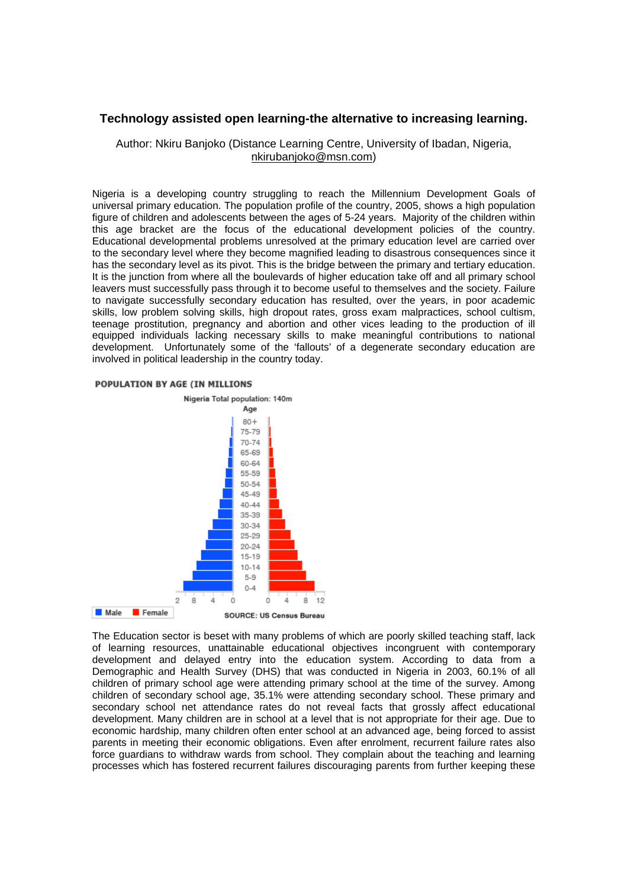# **Technology assisted open learning-the alternative to increasing learning.**

Author: Nkiru Banjoko (Distance Learning Centre, University of Ibadan, Nigeria, nkirubanjoko@msn.com)

Nigeria is a developing country struggling to reach the Millennium Development Goals of universal primary education. The population profile of the country, 2005, shows a high population figure of children and adolescents between the ages of 5-24 years. Majority of the children within this age bracket are the focus of the educational development policies of the country. Educational developmental problems unresolved at the primary education level are carried over to the secondary level where they become magnified leading to disastrous consequences since it has the secondary level as its pivot. This is the bridge between the primary and tertiary education. It is the junction from where all the boulevards of higher education take off and all primary school leavers must successfully pass through it to become useful to themselves and the society. Failure to navigate successfully secondary education has resulted, over the years, in poor academic skills, low problem solving skills, high dropout rates, gross exam malpractices, school cultism, teenage prostitution, pregnancy and abortion and other vices leading to the production of ill equipped individuals lacking necessary skills to make meaningful contributions to national development. Unfortunately some of the 'fallouts' of a degenerate secondary education are involved in political leadership in the country today.

#### POPULATION BY AGE (IN MILLIONS



The Education sector is beset with many problems of which are poorly skilled teaching staff, lack of learning resources, unattainable educational objectives incongruent with contemporary development and delayed entry into the education system. According to data from a Demographic and Health Survey (DHS) that was conducted in Nigeria in 2003, 60.1% of all children of primary school age were attending primary school at the time of the survey. Among children of secondary school age, 35.1% were attending secondary school. These primary and secondary school net attendance rates do not reveal facts that grossly affect educational development. Many children are in school at a level that is not appropriate for their age. Due to economic hardship, many children often enter school at an advanced age, being forced to assist parents in meeting their economic obligations. Even after enrolment, recurrent failure rates also force guardians to withdraw wards from school. They complain about the teaching and learning processes which has fostered recurrent failures discouraging parents from further keeping these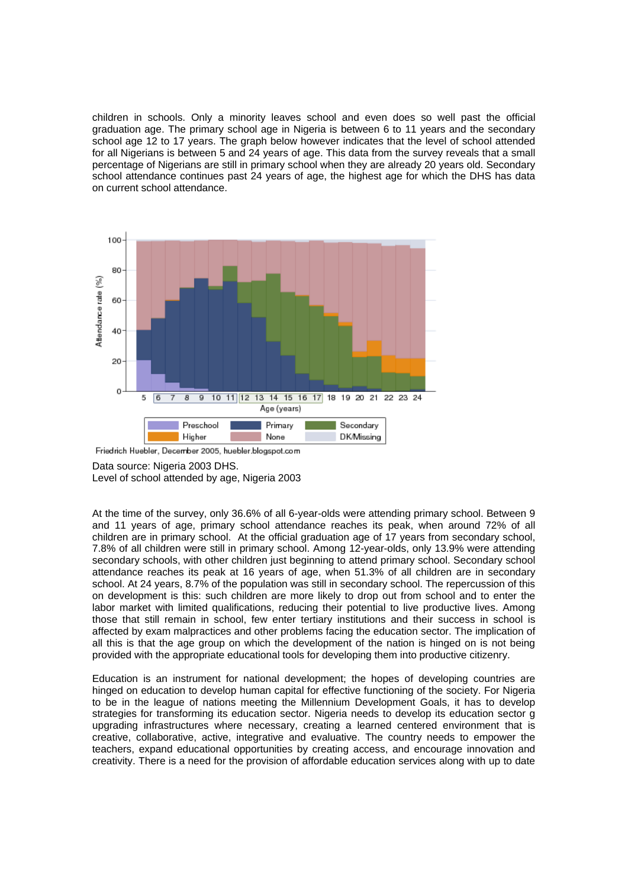children in schools. Only a minority leaves school and even does so well past the official graduation age. The primary school age in Nigeria is between 6 to 11 years and the secondary school age 12 to 17 years. The graph below however indicates that the level of school attended for all Nigerians is between 5 and 24 years of age. This data from the survey reveals that a small percentage of Nigerians are still in primary school when they are already 20 years old. Secondary school attendance continues past 24 years of age, the highest age for which the DHS has data on current school attendance.



Friedrich Huebler, December 2005, huebler.blogspot.com<br>Data source: Nigeria 2003 DHS.

At the time of the survey, only 36.6% of all 6-year-olds were attending primary school. Between 9 and 11 years of age, primary school attendance reaches its peak, when around 72% of all children are in primary school. At the official graduation age of 17 years from secondary school, 7.8% of all children were still in primary school. Among 12-year-olds, only 13.9% were attending secondary schools, with other children just beginning to attend primary school. Secondary school attendance reaches its peak at 16 years of age, when 51.3% of all children are in secondary school. At 24 years, 8.7% of the population was still in secondary school. The repercussion of this on development is this: such children are more likely to drop out from school and to enter the labor market with limited qualifications, reducing their potential to live productive lives. Among those that still remain in school, few enter tertiary institutions and their success in school is affected by exam malpractices and other problems facing the education sector. The implication of all this is that the age group on which the development of the nation is hinged on is not being provided with the appropriate educational tools for developing them into productive citizenry.

Education is an instrument for national development; the hopes of developing countries are hinged on education to develop human capital for effective functioning of the society. For Nigeria to be in the league of nations meeting the Millennium Development Goals, it has to develop strategies for transforming its education sector. Nigeria needs to develop its education sector g upgrading infrastructures where necessary, creating a learned centered environment that is creative, collaborative, active, integrative and evaluative. The country needs to empower the teachers, expand educational opportunities by creating access, and encourage innovation and creativity. There is a need for the provision of affordable education services along with up to date

Level of school attended by age, Nigeria 2003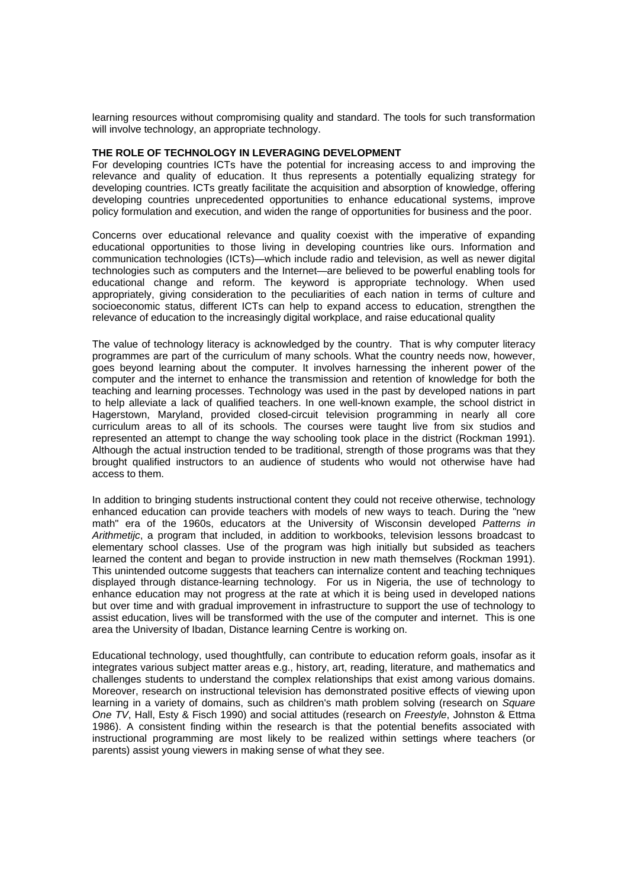learning resources without compromising quality and standard. The tools for such transformation will involve technology, an appropriate technology.

#### **THE ROLE OF TECHNOLOGY IN LEVERAGING DEVELOPMENT**

For developing countries ICTs have the potential for increasing access to and improving the relevance and quality of education. It thus represents a potentially equalizing strategy for developing countries. ICTs greatly facilitate the acquisition and absorption of knowledge, offering developing countries unprecedented opportunities to enhance educational systems, improve policy formulation and execution, and widen the range of opportunities for business and the poor.

Concerns over educational relevance and quality coexist with the imperative of expanding educational opportunities to those living in developing countries like ours. Information and communication technologies (ICTs)—which include radio and television, as well as newer digital technologies such as computers and the Internet—are believed to be powerful enabling tools for educational change and reform. The keyword is appropriate technology. When used appropriately, giving consideration to the peculiarities of each nation in terms of culture and socioeconomic status, different ICTs can help to expand access to education, strengthen the relevance of education to the increasingly digital workplace, and raise educational quality

The value of technology literacy is acknowledged by the country. That is why computer literacy programmes are part of the curriculum of many schools. What the country needs now, however, goes beyond learning about the computer. It involves harnessing the inherent power of the computer and the internet to enhance the transmission and retention of knowledge for both the teaching and learning processes. Technology was used in the past by developed nations in part to help alleviate a lack of qualified teachers. In one well-known example, the school district in Hagerstown, Maryland, provided closed-circuit television programming in nearly all core curriculum areas to all of its schools. The courses were taught live from six studios and represented an attempt to change the way schooling took place in the district (Rockman 1991). Although the actual instruction tended to be traditional, strength of those programs was that they brought qualified instructors to an audience of students who would not otherwise have had access to them.

In addition to bringing students instructional content they could not receive otherwise, technology enhanced education can provide teachers with models of new ways to teach. During the "new math" era of the 1960s, educators at the University of Wisconsin developed *Patterns in Arithmetijc*, a program that included, in addition to workbooks, television lessons broadcast to elementary school classes. Use of the program was high initially but subsided as teachers learned the content and began to provide instruction in new math themselves (Rockman 1991). This unintended outcome suggests that teachers can internalize content and teaching techniques displayed through distance-learning technology. For us in Nigeria, the use of technology to enhance education may not progress at the rate at which it is being used in developed nations but over time and with gradual improvement in infrastructure to support the use of technology to assist education, lives will be transformed with the use of the computer and internet. This is one area the University of Ibadan, Distance learning Centre is working on.

Educational technology, used thoughtfully, can contribute to education reform goals, insofar as it integrates various subject matter areas e.g., history, art, reading, literature, and mathematics and challenges students to understand the complex relationships that exist among various domains. Moreover, research on instructional television has demonstrated positive effects of viewing upon learning in a variety of domains, such as children's math problem solving (research on *Square One TV*, Hall, Esty & Fisch 1990) and social attitudes (research on *Freestyle*, Johnston & Ettma 1986). A consistent finding within the research is that the potential benefits associated with instructional programming are most likely to be realized within settings where teachers (or parents) assist young viewers in making sense of what they see.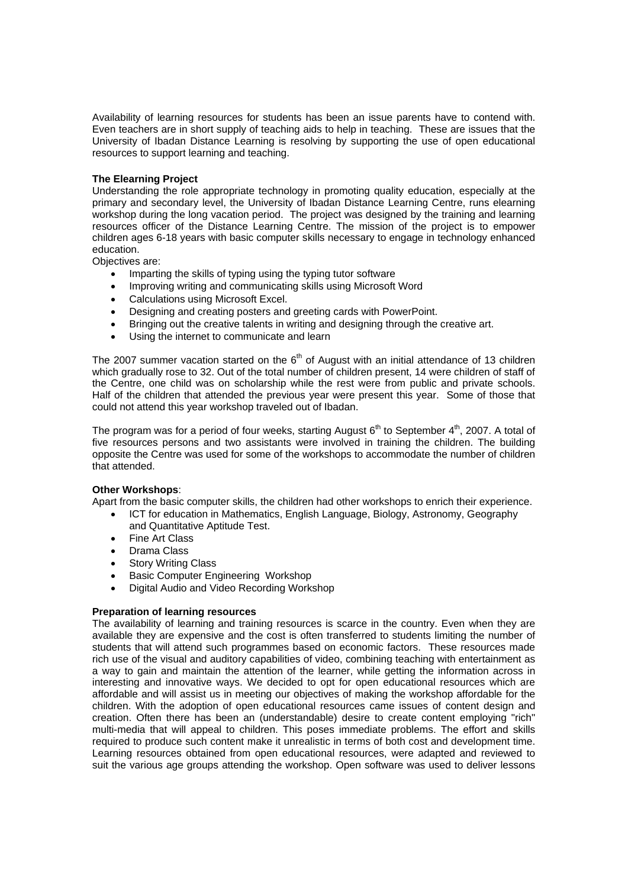Availability of learning resources for students has been an issue parents have to contend with. Even teachers are in short supply of teaching aids to help in teaching. These are issues that the University of Ibadan Distance Learning is resolving by supporting the use of open educational resources to support learning and teaching.

## **The Elearning Project**

Understanding the role appropriate technology in promoting quality education, especially at the primary and secondary level, the University of Ibadan Distance Learning Centre, runs elearning workshop during the long vacation period. The project was designed by the training and learning resources officer of the Distance Learning Centre. The mission of the project is to empower children ages 6-18 years with basic computer skills necessary to engage in technology enhanced education.

Objectives are:

- Imparting the skills of typing using the typing tutor software
- Improving writing and communicating skills using Microsoft Word
- Calculations using Microsoft Excel.
- Designing and creating posters and greeting cards with PowerPoint.
- Bringing out the creative talents in writing and designing through the creative art.
- Using the internet to communicate and learn

The 2007 summer vacation started on the  $6<sup>th</sup>$  of August with an initial attendance of 13 children which gradually rose to 32. Out of the total number of children present, 14 were children of staff of the Centre, one child was on scholarship while the rest were from public and private schools. Half of the children that attended the previous year were present this year. Some of those that could not attend this year workshop traveled out of Ibadan.

The program was for a period of four weeks, starting August  $6<sup>th</sup>$  to September  $4<sup>th</sup>$ , 2007. A total of five resources persons and two assistants were involved in training the children. The building opposite the Centre was used for some of the workshops to accommodate the number of children that attended.

### **Other Workshops**:

Apart from the basic computer skills, the children had other workshops to enrich their experience.

- ICT for education in Mathematics, English Language, Biology, Astronomy, Geography and Quantitative Aptitude Test.
- Fine Art Class
- Drama Class
- Story Writing Class
- Basic Computer Engineering Workshop
- Digital Audio and Video Recording Workshop

### **Preparation of learning resources**

The availability of learning and training resources is scarce in the country. Even when they are available they are expensive and the cost is often transferred to students limiting the number of students that will attend such programmes based on economic factors. These resources made rich use of the visual and auditory capabilities of video, combining teaching with entertainment as a way to gain and maintain the attention of the learner, while getting the information across in interesting and innovative ways. We decided to opt for open educational resources which are affordable and will assist us in meeting our objectives of making the workshop affordable for the children. With the adoption of open educational resources came issues of content design and creation. Often there has been an (understandable) desire to create content employing "rich" multi-media that will appeal to children. This poses immediate problems. The effort and skills required to produce such content make it unrealistic in terms of both cost and development time. Learning resources obtained from open educational resources, were adapted and reviewed to suit the various age groups attending the workshop. Open software was used to deliver lessons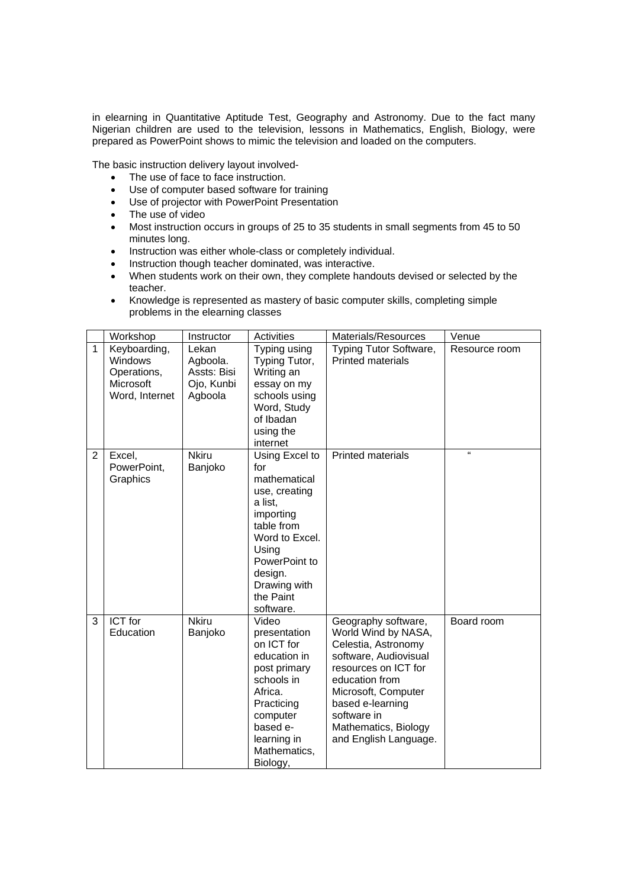in elearning in Quantitative Aptitude Test, Geography and Astronomy. Due to the fact many Nigerian children are used to the television, lessons in Mathematics, English, Biology, were prepared as PowerPoint shows to mimic the television and loaded on the computers.

The basic instruction delivery layout involved-

- The use of face to face instruction.
- Use of computer based software for training
- Use of projector with PowerPoint Presentation
- The use of video
- Most instruction occurs in groups of 25 to 35 students in small segments from 45 to 50 minutes long.
- Instruction was either whole-class or completely individual.
- Instruction though teacher dominated, was interactive.
- When students work on their own, they complete handouts devised or selected by the teacher.
- Knowledge is represented as mastery of basic computer skills, completing simple problems in the elearning classes

|                | Workshop                                                              | Instructor                                                | Activities                                                                                                                                                                                    | Materials/Resources                                                                                                                                                                                                                             | Venue         |
|----------------|-----------------------------------------------------------------------|-----------------------------------------------------------|-----------------------------------------------------------------------------------------------------------------------------------------------------------------------------------------------|-------------------------------------------------------------------------------------------------------------------------------------------------------------------------------------------------------------------------------------------------|---------------|
| $\mathbf{1}$   | Keyboarding,<br>Windows<br>Operations,<br>Microsoft<br>Word, Internet | Lekan<br>Agboola.<br>Assts: Bisi<br>Ojo, Kunbi<br>Agboola | Typing using<br>Typing Tutor,<br>Writing an<br>essay on my<br>schools using<br>Word, Study<br>of Ibadan<br>using the<br>internet                                                              | Typing Tutor Software,<br><b>Printed materials</b>                                                                                                                                                                                              | Resource room |
| $\overline{2}$ | Excel,<br>PowerPoint,<br>Graphics                                     | <b>Nkiru</b><br>Banjoko                                   | Using Excel to<br>for<br>mathematical<br>use, creating<br>a list,<br>importing<br>table from<br>Word to Excel.<br>Using<br>PowerPoint to<br>design.<br>Drawing with<br>the Paint<br>software. | <b>Printed materials</b>                                                                                                                                                                                                                        | $\mathbf{G}$  |
| 3              | <b>ICT</b> for<br>Education                                           | <b>Nkiru</b><br>Banjoko                                   | Video<br>presentation<br>on ICT for<br>education in<br>post primary<br>schools in<br>Africa.<br>Practicing<br>computer<br>based e-<br>learning in<br>Mathematics,<br>Biology,                 | Geography software,<br>World Wind by NASA,<br>Celestia, Astronomy<br>software, Audiovisual<br>resources on ICT for<br>education from<br>Microsoft, Computer<br>based e-learning<br>software in<br>Mathematics, Biology<br>and English Language. | Board room    |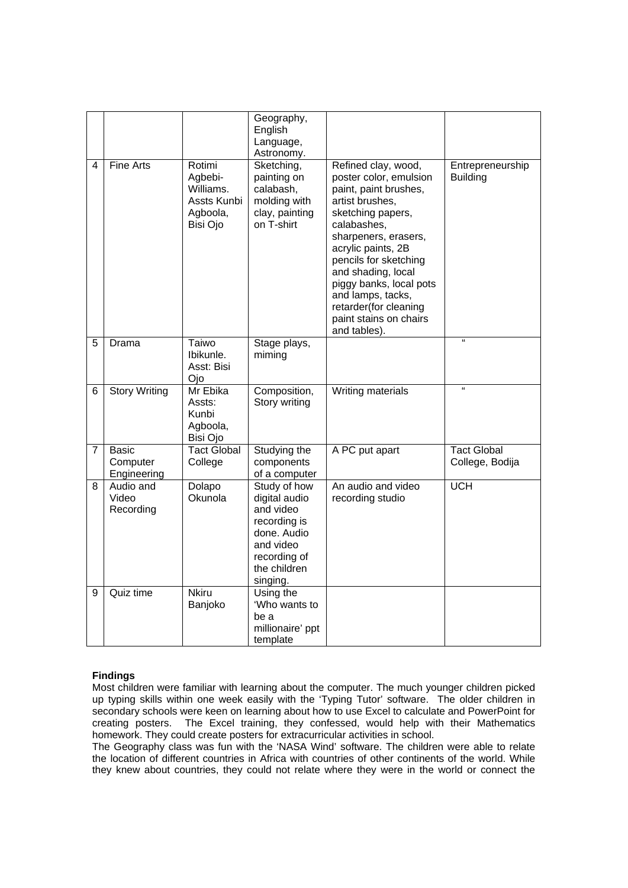|   |                                         |                                                                       | Geography,<br>English<br>Language,<br>Astronomy.                                                                                   |                                                                                                                                                                                                                                                                                                                                               |                                       |
|---|-----------------------------------------|-----------------------------------------------------------------------|------------------------------------------------------------------------------------------------------------------------------------|-----------------------------------------------------------------------------------------------------------------------------------------------------------------------------------------------------------------------------------------------------------------------------------------------------------------------------------------------|---------------------------------------|
| 4 | <b>Fine Arts</b>                        | Rotimi<br>Agbebi-<br>Williams.<br>Assts Kunbi<br>Agboola,<br>Bisi Ojo | Sketching,<br>painting on<br>calabash,<br>molding with<br>clay, painting<br>on T-shirt                                             | Refined clay, wood,<br>poster color, emulsion<br>paint, paint brushes,<br>artist brushes,<br>sketching papers,<br>calabashes,<br>sharpeners, erasers,<br>acrylic paints, 2B<br>pencils for sketching<br>and shading, local<br>piggy banks, local pots<br>and lamps, tacks,<br>retarder(for cleaning<br>paint stains on chairs<br>and tables). | Entrepreneurship<br><b>Building</b>   |
| 5 | Drama                                   | Taiwo<br>Ibikunle.<br>Asst: Bisi<br>Ojo                               | Stage plays,<br>miming                                                                                                             |                                                                                                                                                                                                                                                                                                                                               | $\alpha$                              |
| 6 | <b>Story Writing</b>                    | Mr Ebika<br>Assts:<br>Kunbi<br>Agboola,<br>Bisi Ojo                   | Composition,<br>Story writing                                                                                                      | Writing materials                                                                                                                                                                                                                                                                                                                             | $\epsilon$                            |
| 7 | <b>Basic</b><br>Computer<br>Engineering | <b>Tact Global</b><br>College                                         | Studying the<br>components<br>of a computer                                                                                        | A PC put apart                                                                                                                                                                                                                                                                                                                                | <b>Tact Global</b><br>College, Bodija |
| 8 | Audio and<br>Video<br>Recording         | Dolapo<br>Okunola                                                     | Study of how<br>digital audio<br>and video<br>recording is<br>done. Audio<br>and video<br>recording of<br>the children<br>singing. | An audio and video<br>recording studio                                                                                                                                                                                                                                                                                                        | <b>UCH</b>                            |
| 9 | Quiz time                               | <b>Nkiru</b><br>Banjoko                                               | Using the<br>'Who wants to<br>be a<br>millionaire' ppt<br>template                                                                 |                                                                                                                                                                                                                                                                                                                                               |                                       |

# **Findings**

Most children were familiar with learning about the computer. The much younger children picked up typing skills within one week easily with the 'Typing Tutor' software. The older children in secondary schools were keen on learning about how to use Excel to calculate and PowerPoint for creating posters. The Excel training, they confessed, would help with their Mathematics homework. They could create posters for extracurricular activities in school.

The Geography class was fun with the 'NASA Wind' software. The children were able to relate the location of different countries in Africa with countries of other continents of the world. While they knew about countries, they could not relate where they were in the world or connect the